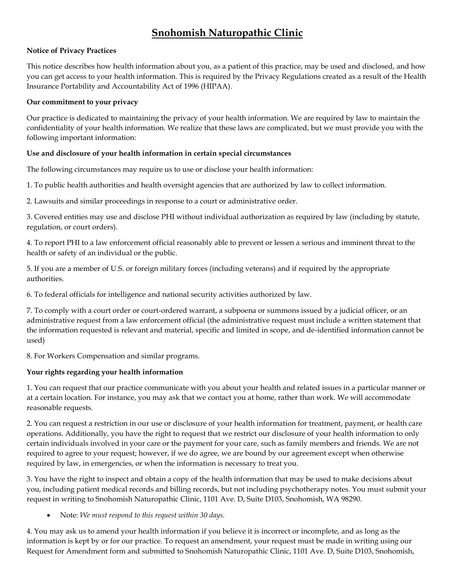### **Snohomish Naturopathic Clinic**

#### **Notice of Privacy Practices**

This notice describes how health information about you, as a patient of this practice, may be used and disclosed, and how you can get access to your health information. This is required by the Privacy Regulations created as a result of the Health Insurance Portability and Accountability Act of 1996 (HIPAA).

#### **Our commitment to your privacy**

Our practice is dedicated to maintaining the privacy of your health information. We are required by law to maintain the confidentiality of your health information. We realize that these laws are complicated, but we must provide you with the following important information:

#### **Use and disclosure of your health information in certain special circumstances**

The following circumstances may require us to use or disclose your health information:

1. To public health authorities and health oversight agencies that are authorized by law to collect information.

2. Lawsuits and similar proceedings in response to a court or administrative order.

3. Covered entities may use and disclose PHI without individual authorization as required by law (including by statute, regulation, or court orders).

4. To report PHI to a law enforcement official reasonably able to prevent or lessen a serious and imminent threat to the health or safety of an individual or the public.

5. If you are a member of U.S. or foreign military forces (including veterans) and if required by the appropriate authorities.

6. To federal officials for intelligence and national security activities authorized by law.

7. To comply with a court order or court-ordered warrant, a subpoena or summons issued by a judicial officer, or an administrative request from a law enforcement official (the administrative request must include a written statement that the information requested is relevant and material, specific and limited in scope, and de-identified information cannot be used)

8. For Workers Compensation and similar programs.

#### **Your rights regarding your health information**

1. You can request that our practice communicate with you about your health and related issues in a particular manner or at a certain location. For instance, you may ask that we contact you at home, rather than work. We will accommodate reasonable requests.

2. You can request a restriction in our use or disclosure of your health information for treatment, payment, or health care operations. Additionally, you have the right to request that we restrict our disclosure of your health information to only certain individuals involved in your care or the payment for your care, such as family members and friends. We are not required to agree to your request; however, if we do agree, we are bound by our agreement except when otherwise required by law, in emergencies, or when the information is necessary to treat you.

3. You have the right to inspect and obtain a copy of the health information that may be used to make decisions about you, including patient medical records and billing records, but not including psychotherapy notes. You must submit your request in writing to Snohomish Naturopathic Clinic, 1101 Ave. D, Suite D103, Snohomish, WA 98290.

Note: *We must respond to this request within 30 days.*

4. You may ask us to amend your health information if you believe it is incorrect or incomplete, and as long as the information is kept by or for our practice. To request an amendment, your request must be made in writing using our Request for Amendment form and submitted to Snohomish Naturopathic Clinic, 1101 Ave. D, Suite D103, Snohomish,